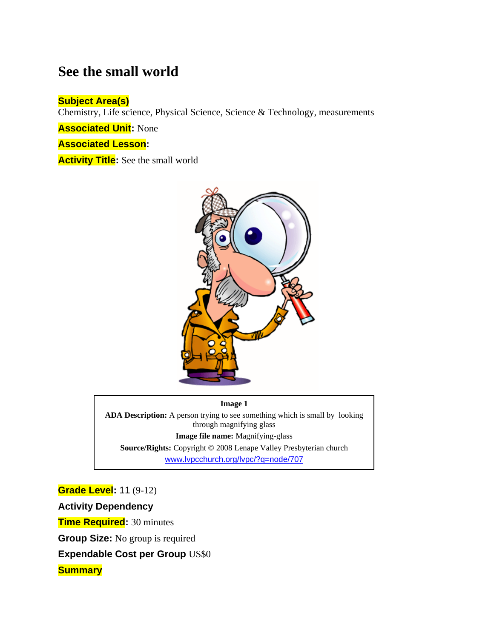# **See the small world**

### **Subject Area(s)**

Chemistry, Life science, Physical Science, Science & Technology, measurements

**Associated Unit:** None

**Associated Lesson:**

**Activity Title:** See the small world



**Image 1** 

**ADA Description:** A person trying to see something which is small by looking through magnifying glass **Image file name:** Magnifying-glass

**Source/Rights:** Copyright © 2008 Lenape Valley Presbyterian church www.lvpcchurch.org/lvpc/?q=node/707

**Grade Level:** 11 (9-12) **Activity Dependency** 

**Time Required:** 30 minutes

**Group Size:** No group is required

**Expendable Cost per Group** US\$0

**Summary**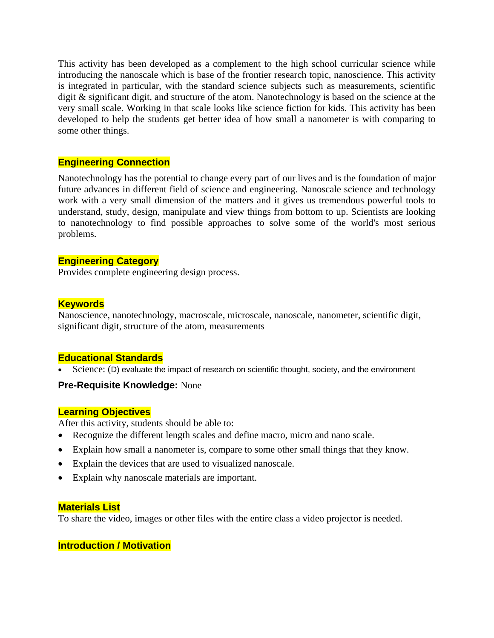This activity has been developed as a complement to the high school curricular science while introducing the nanoscale which is base of the frontier research topic, nanoscience. This activity is integrated in particular, with the standard science subjects such as measurements, scientific digit & significant digit, and structure of the atom. Nanotechnology is based on the science at the very small scale. Working in that scale looks like science fiction for kids. This activity has been developed to help the students get better idea of how small a nanometer is with comparing to some other things.

### **Engineering Connection**

Nanotechnology has the potential to change every part of our lives and is the foundation of major future advances in different field of science and engineering. Nanoscale science and technology work with a very small dimension of the matters and it gives us tremendous powerful tools to understand, study, design, manipulate and view things from bottom to up. Scientists are looking to nanotechnology to find possible approaches to solve some of the world's most serious problems.

### **Engineering Category**

Provides complete engineering design process.

### **Keywords**

Nanoscience, nanotechnology, macroscale, microscale, nanoscale, nanometer, scientific digit, significant digit, structure of the atom, measurements

### **Educational Standards**

Science: (D) evaluate the impact of research on scientific thought, society, and the environment

### **Pre-Requisite Knowledge:** None

### **Learning Objectives**

After this activity, students should be able to:

- Recognize the different length scales and define macro, micro and nano scale.
- Explain how small a nanometer is, compare to some other small things that they know.
- Explain the devices that are used to visualized nanoscale.
- Explain why nanoscale materials are important.

### **Materials List**

To share the video, images or other files with the entire class a video projector is needed.

### **Introduction / Motivation**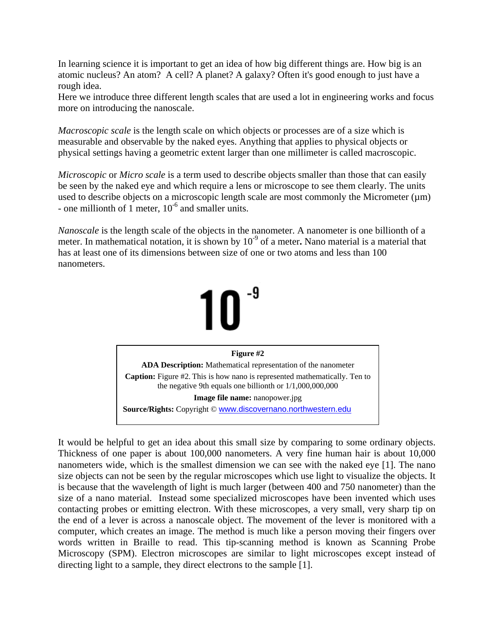In learning science it is important to get an idea of how big different things are. How big is an atomic nucleus? An atom? A cell? A planet? A galaxy? Often it's good enough to just have a rough idea.

Here we introduce three different length scales that are used a lot in engineering works and focus more on introducing the nanoscale.

*Macroscopic scale* is the length scale on which objects or processes are of a size which is measurable and observable by the naked eyes. Anything that applies to physical objects or physical settings having a geometric extent larger than one millimeter is called macroscopic.

*Microscopic* or *Micro scale* is a term used to describe objects smaller than those that can easily be seen by the naked eye and which require a lens or microscope to see them clearly. The units used to describe objects on a microscopic length scale are most commonly the Micrometer  $(\mu m)$ - one millionth of 1 meter,  $10^{-6}$  and smaller units.

*Nanoscale* is the length scale of the objects in the nanometer. A nanometer is one billionth of a meter. In mathematical notation, it is shown by 10-9 of a meter**.** Nano material is a material that has at least one of its dimensions between size of one or two atoms and less than 100 nanometers.



It would be helpful to get an idea about this small size by comparing to some ordinary objects. Thickness of one paper is about 100,000 nanometers. A very fine human hair is about 10,000 nanometers wide, which is the smallest dimension we can see with the naked eye [1]. The nano size objects can not be seen by the regular microscopes which use light to visualize the objects. It is because that the wavelength of light is much larger (between 400 and 750 nanometer) than the size of a nano material. Instead some specialized microscopes have been invented which uses contacting probes or emitting electron. With these microscopes, a very small, very sharp tip on the end of a lever is across a nanoscale object. The movement of the lever is monitored with a computer, which creates an image. The method is much like a person moving their fingers over words written in Braille to read. This tip-scanning method is known as Scanning Probe Microscopy (SPM). Electron microscopes are similar to light microscopes except instead of directing light to a sample, they direct electrons to the sample [1].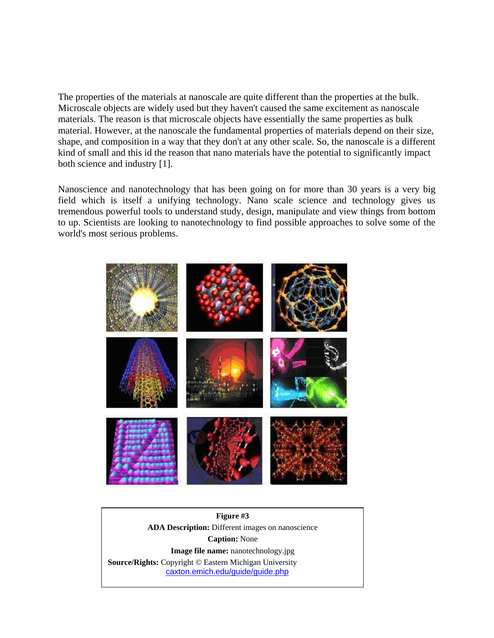The properties of the materials at nanoscale are quite different than the properties at the bulk. Microscale objects are widely used but they haven't caused the same excitement as nanoscale materials. The reason is that microscale objects have essentially the same properties as bulk material. However, at the nanoscale the fundamental properties of materials depend on their size, shape, and composition in a way that they don't at any other scale. So, the nanoscale is a different kind of small and this id the reason that nano materials have the potential to significantly impact both science and industry [1].

Nanoscience and nanotechnology that has been going on for more than 30 years is a very big field which is itself a unifying technology. Nano scale science and technology gives us tremendous powerful tools to understand study, design, manipulate and view things from bottom to up. Scientists are looking to nanotechnology to find possible approaches to solve some of the world's most serious problems.



**Figure #3 ADA Description:** Different images on nanoscience **Caption:** None **Image file name:** nanotechnology.jpg **Source/Rights:** Copyright © Eastern Michigan University caxton.emich.edu/guide/guide.php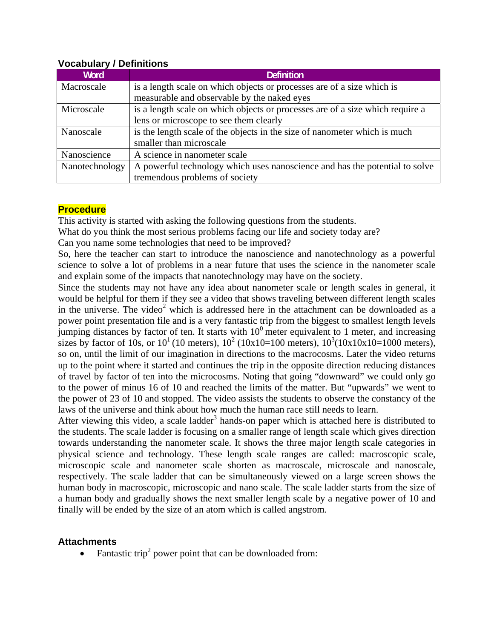| <b>Word</b>    | <b>Definition</b>                                                             |
|----------------|-------------------------------------------------------------------------------|
| Macroscale     | is a length scale on which objects or processes are of a size which is        |
|                | measurable and observable by the naked eyes                                   |
| Microscale     | is a length scale on which objects or processes are of a size which require a |
|                | lens or microscope to see them clearly                                        |
| Nanoscale      | is the length scale of the objects in the size of nanometer which is much     |
|                | smaller than microscale                                                       |
| Nanoscience    | A science in nanometer scale                                                  |
| Nanotechnology | A powerful technology which uses nanoscience and has the potential to solve   |
|                | tremendous problems of society                                                |

### **Vocabulary / Definitions**

### **Procedure**

This activity is started with asking the following questions from the students.

What do you think the most serious problems facing our life and society today are?

Can you name some technologies that need to be improved?

So, here the teacher can start to introduce the nanoscience and nanotechnology as a powerful science to solve a lot of problems in a near future that uses the science in the nanometer scale and explain some of the impacts that nanotechnology may have on the society.

Since the students may not have any idea about nanometer scale or length scales in general, it would be helpful for them if they see a video that shows traveling between different length scales in the universe. The video<sup>2</sup> which is addressed here in the attachment can be downloaded as a power point presentation file and is a very fantastic trip from the biggest to smallest length levels jumping distances by factor of ten. It starts with  $10<sup>0</sup>$  meter equivalent to 1 meter, and increasing sizes by factor of 10s, or  $10^1$  (10 meters),  $10^2$  (10x10=100 meters),  $10^3$ (10x10x10=1000 meters), so on, until the limit of our imagination in directions to the macrocosms. Later the video returns up to the point where it started and continues the trip in the opposite direction reducing distances of travel by factor of ten into the microcosms. Noting that going "downward" we could only go to the power of minus 16 of 10 and reached the limits of the matter. But "upwards" we went to the power of 23 of 10 and stopped. The video assists the students to observe the constancy of the laws of the universe and think about how much the human race still needs to learn.

After viewing this video, a scale ladder<sup>3</sup> hands-on paper which is attached here is distributed to the students. The scale ladder is focusing on a smaller range of length scale which gives direction towards understanding the nanometer scale. It shows the three major length scale categories in physical science and technology. These length scale ranges are called: macroscopic scale, microscopic scale and nanometer scale shorten as macroscale, microscale and nanoscale, respectively. The scale ladder that can be simultaneously viewed on a large screen shows the human body in macroscopic, microscopic and nano scale. The scale ladder starts from the size of a human body and gradually shows the next smaller length scale by a negative power of 10 and finally will be ended by the size of an atom which is called angstrom.

### **Attachments**

• Fantastic trip<sup>2</sup> power point that can be downloaded from: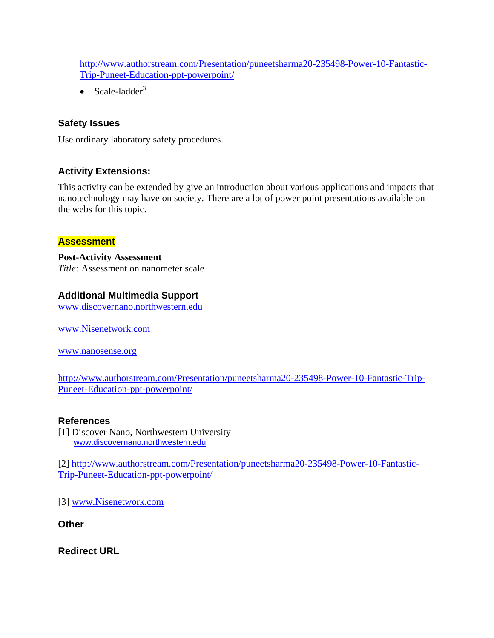http://www.authorstream.com/Presentation/puneetsharma20-235498-Power-10-Fantastic-Trip-Puneet-Education-ppt-powerpoint/

• Scale-ladder $3$ 

## **Safety Issues**

Use ordinary laboratory safety procedures.

## **Activity Extensions:**

This activity can be extended by give an introduction about various applications and impacts that nanotechnology may have on society. There are a lot of power point presentations available on the webs for this topic.

### **Assessment**

**Post-Activity Assessment**  *Title:* Assessment on nanometer scale

## **Additional Multimedia Support**

www.discovernano.northwestern.edu

www.Nisenetwork.com

www.nanosense.org

http://www.authorstream.com/Presentation/puneetsharma20-235498-Power-10-Fantastic-Trip-Puneet-Education-ppt-powerpoint/

### **References**

[1] Discover Nano, Northwestern University www.discovernano.northwestern.edu

[2] http://www.authorstream.com/Presentation/puneetsharma20-235498-Power-10-Fantastic-Trip-Puneet-Education-ppt-powerpoint/

[3] www.Nisenetwork.com

**Other** 

**Redirect URL**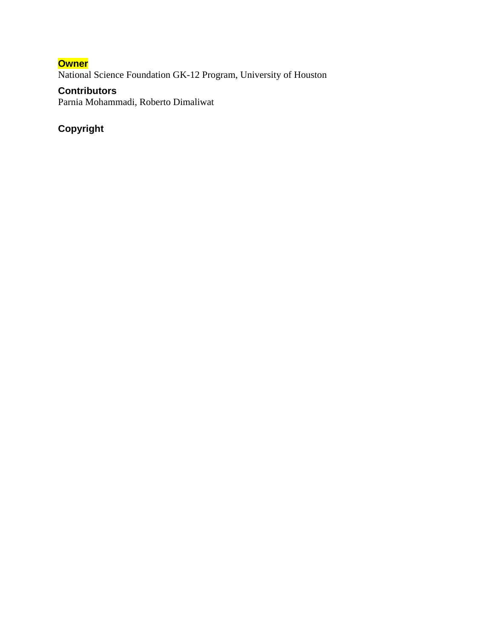## **Owner**

National Science Foundation GK-12 Program, University of Houston

# **Contributors**

Parnia Mohammadi, Roberto Dimaliwat

# **Copyright**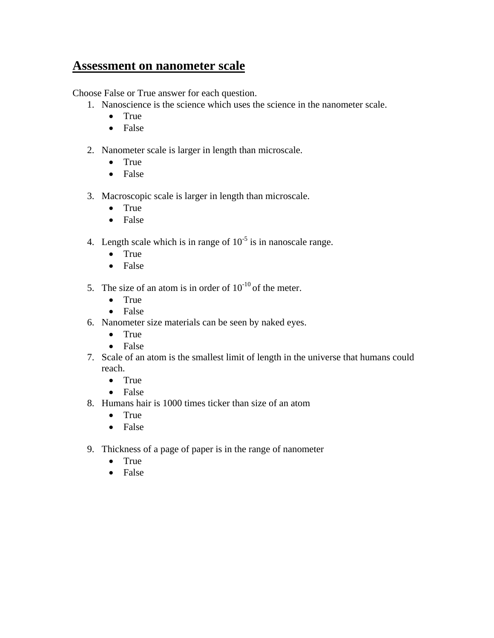# **Assessment on nanometer scale**

Choose False or True answer for each question.

- 1. Nanoscience is the science which uses the science in the nanometer scale.
	- True
	- False
- 2. Nanometer scale is larger in length than microscale.
	- True
	- False
- 3. Macroscopic scale is larger in length than microscale.
	- True
	- False
- 4. Length scale which is in range of  $10^{-5}$  is in nanoscale range.
	- True
	- False
- 5. The size of an atom is in order of  $10^{-10}$  of the meter.
	- True
	- False
- 6. Nanometer size materials can be seen by naked eyes.
	- True
	- False
- 7. Scale of an atom is the smallest limit of length in the universe that humans could reach.
	- True
	- False
- 8. Humans hair is 1000 times ticker than size of an atom
	- True
	- False
- 9. Thickness of a page of paper is in the range of nanometer
	- True
	- False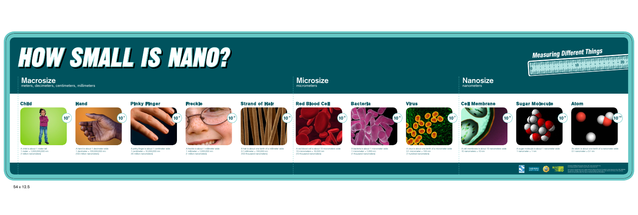

A child is about 1 meter tall  $\bullet$  1 meter = 1,000,000,000 nm (1 billion nanometers)





A red blood cell is about 10 micrometers wide  $\bullet$  10 micrometers = 10,000 nm <sup>t</sup> (10 thousand nanometers)

A hand is about 1 decimeter wide 1 decimeter = 100,000,000 nm (100 million nanometers)

A sugar molecule is about 1 nanometer wide 1 nanometer  $= 1$  nm



An atom is about one tenth of a nanometer wide  $0.1$  nanometer =  $0.1$  nm



A freckle is about 1 millimeter wide 1 millimeter = 1,000,000 nm (1 million nanometers)



A hair is about one tenth of a millimeter wide 0.1 millimeter = 100,000 nm (100 thousand nanometers)



A bacteria is about 1 micrometer wide 1 micrometer  $= 1,000$  nm (1 thousand nanometers)



A virus is about one tenth of a micrometer wide 0.1 micrometer = 100 nm (1 hundred nanometers)



 $10$  nanometers = 10 nm

# **Measuring Different Things**

Measuring Different Things

A cell membrane is about 10 nanometers wide





A pinky finger is about 1 centimeter wide 1 centimeter = 10,000,000 nm (10 million nanometers)

# **Macrosize**

meters, decimeters, centimeters, millimeters



# **Nanosize** nanometers



Created in 2008 by Sciencenter, Ithaca, NY, www.sciencenter.org Accompanying book available for purchase at www.lulu.com

This material is based upon work supported by the National Science Foundation under Agreement No. ESI-0532536. Any opinions, findings, and conclusions or recommendations expressed in this material are those of the author(s) and do not necessarily reflect the views of the National Science Foundation.

# HOW SMALL IS NANO?

54 x 12.5